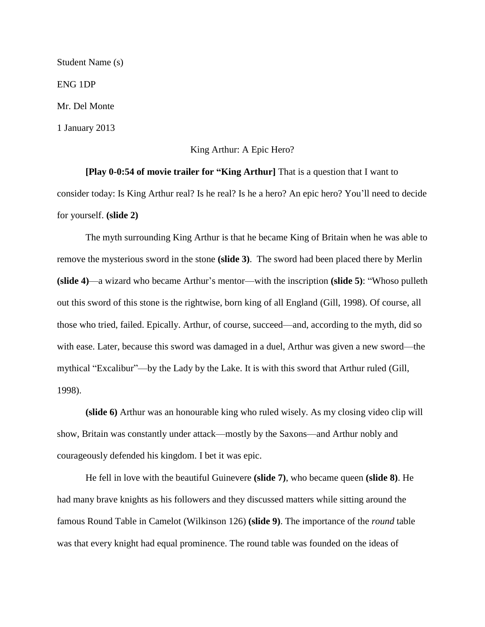Student Name (s) ENG 1DP Mr. Del Monte 1 January 2013

## King Arthur: A Epic Hero?

**[Play 0-0:54 of movie trailer for "King Arthur]** That is a question that I want to consider today: Is King Arthur real? Is he real? Is he a hero? An epic hero? You'll need to decide for yourself. **(slide 2)** 

The myth surrounding King Arthur is that he became King of Britain when he was able to remove the mysterious sword in the stone **(slide 3)**. The sword had been placed there by Merlin **(slide 4)**—a wizard who became Arthur's mentor—with the inscription **(slide 5)**: "Whoso pulleth out this sword of this stone is the rightwise, born king of all England (Gill, 1998). Of course, all those who tried, failed. Epically. Arthur, of course, succeed—and, according to the myth, did so with ease. Later, because this sword was damaged in a duel, Arthur was given a new sword—the mythical "Excalibur"—by the Lady by the Lake. It is with this sword that Arthur ruled (Gill, 1998).

**(slide 6)** Arthur was an honourable king who ruled wisely. As my closing video clip will show, Britain was constantly under attack—mostly by the Saxons—and Arthur nobly and courageously defended his kingdom. I bet it was epic.

He fell in love with the beautiful Guinevere **(slide 7)**, who became queen **(slide 8)**. He had many brave knights as his followers and they discussed matters while sitting around the famous Round Table in Camelot (Wilkinson 126) **(slide 9)**. The importance of the *round* table was that every knight had equal prominence. The round table was founded on the ideas of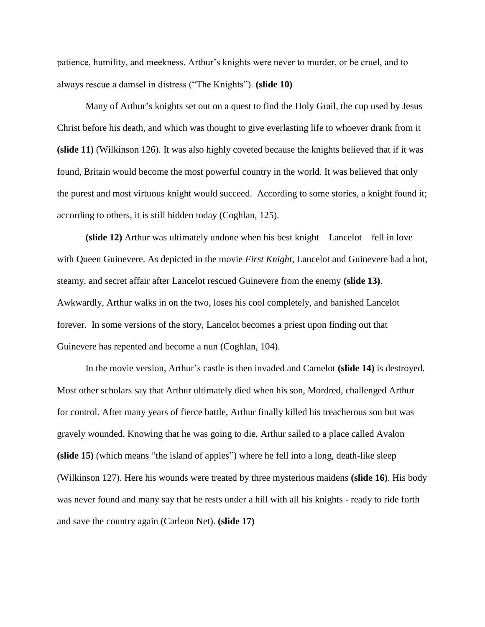patience, humility, and meekness. Arthur's knights were never to murder, or be cruel, and to always rescue a damsel in distress ("The Knights"). **(slide 10)** 

Many of Arthur's knights set out on a quest to find the Holy Grail, the cup used by Jesus Christ before his death, and which was thought to give everlasting life to whoever drank from it **(slide 11)** (Wilkinson 126). It was also highly coveted because the knights believed that if it was found, Britain would become the most powerful country in the world. It was believed that only the purest and most virtuous knight would succeed. According to some stories, a knight found it; according to others, it is still hidden today (Coghlan, 125).

**(slide 12)** Arthur was ultimately undone when his best knight—Lancelot—fell in love with Queen Guinevere. As depicted in the movie *First Knight*, Lancelot and Guinevere had a hot, steamy, and secret affair after Lancelot rescued Guinevere from the enemy **(slide 13)**. Awkwardly, Arthur walks in on the two, loses his cool completely, and banished Lancelot forever. In some versions of the story, Lancelot becomes a priest upon finding out that Guinevere has repented and become a nun (Coghlan, 104).

In the movie version, Arthur's castle is then invaded and Camelot **(slide 14)** is destroyed. Most other scholars say that Arthur ultimately died when his son, Mordred, challenged Arthur for control. After many years of fierce battle, Arthur finally killed his treacherous son but was gravely wounded. Knowing that he was going to die, Arthur sailed to a place called Avalon **(slide 15)** (which means "the island of apples") where he fell into a long, death-like sleep (Wilkinson 127). Here his wounds were treated by three mysterious maidens **(slide 16)**. His body was never found and many say that he rests under a hill with all his knights - ready to ride forth and save the country again (Carleon Net). **(slide 17)**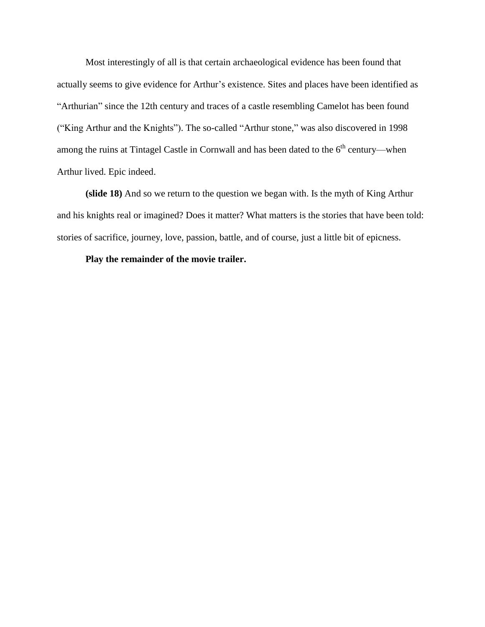Most interestingly of all is that certain archaeological evidence has been found that actually seems to give evidence for Arthur's existence. [Sites and places have been identified as](http://en.wikipedia.org/wiki/Sites_and_places_associated_with_Arthurian_legend)  ["Arthurian"](http://en.wikipedia.org/wiki/Sites_and_places_associated_with_Arthurian_legend) since the 12th century and traces of a castle resembling Camelot has been found ("King Arthur and the Knights"). The so-called ["Arthur stone,](http://en.wikipedia.org/wiki/Arthur_stone)" was also discovered in 1998 among the ruins at [Tintagel Castle](http://en.wikipedia.org/wiki/Tintagel_Castle) in [Cornwall](http://en.wikipedia.org/wiki/Cornwall) and has been dated to the  $6<sup>th</sup>$  century—when Arthur lived. Epic indeed.

**(slide 18)** And so we return to the question we began with. Is the myth of King Arthur and his knights real or imagined? Does it matter? What matters is the stories that have been told: stories of sacrifice, journey, love, passion, battle, and of course, just a little bit of epicness.

## **Play the remainder of the movie trailer.**